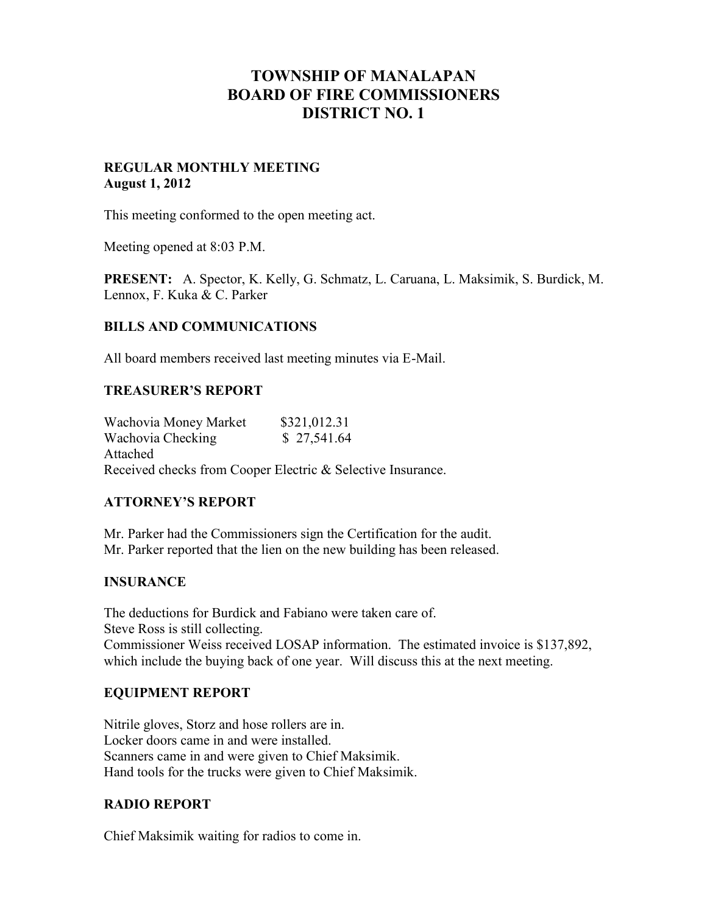# **TOWNSHIP OF MANALAPAN BOARD OF FIRE COMMISSIONERS DISTRICT NO. 1**

#### **REGULAR MONTHLY MEETING August 1, 2012**

This meeting conformed to the open meeting act.

Meeting opened at 8:03 P.M.

**PRESENT:** A. Spector, K. Kelly, G. Schmatz, L. Caruana, L. Maksimik, S. Burdick, M. Lennox, F. Kuka & C. Parker

#### **BILLS AND COMMUNICATIONS**

All board members received last meeting minutes via E-Mail.

#### **TREASURER'S REPORT**

Wachovia Money Market \$321,012.31 Wachovia Checking \$ 27,541.64 Attached Received checks from Cooper Electric & Selective Insurance.

# **ATTORNEY'S REPORT**

Mr. Parker had the Commissioners sign the Certification for the audit. Mr. Parker reported that the lien on the new building has been released.

# **INSURANCE**

The deductions for Burdick and Fabiano were taken care of. Steve Ross is still collecting. Commissioner Weiss received LOSAP information. The estimated invoice is \$137,892, which include the buying back of one year. Will discuss this at the next meeting.

# **EQUIPMENT REPORT**

Nitrile gloves, Storz and hose rollers are in. Locker doors came in and were installed. Scanners came in and were given to Chief Maksimik. Hand tools for the trucks were given to Chief Maksimik.

# **RADIO REPORT**

Chief Maksimik waiting for radios to come in.